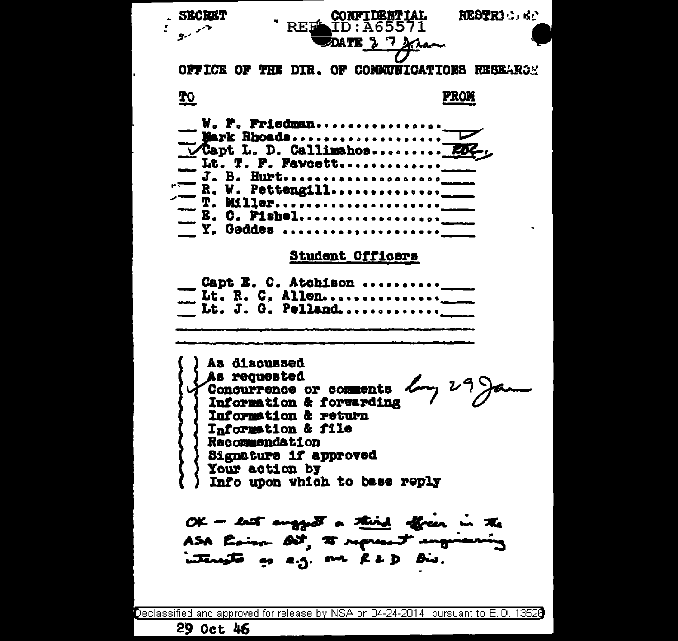